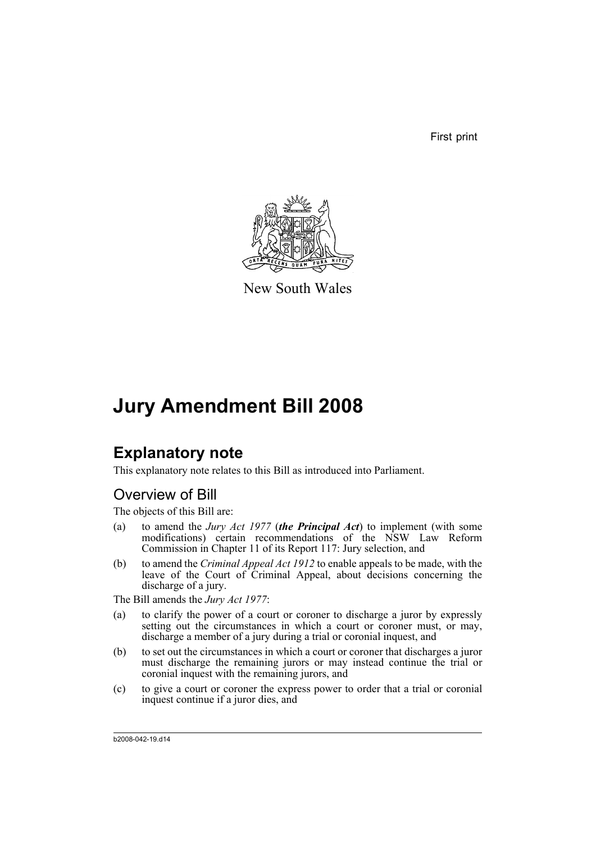First print



New South Wales

# **Jury Amendment Bill 2008**

# **Explanatory note**

This explanatory note relates to this Bill as introduced into Parliament.

## Overview of Bill

The objects of this Bill are:

- (a) to amend the *Jury Act 1977* (*the Principal Act*) to implement (with some modifications) certain recommendations of the NSW Law Reform Commission in Chapter 11 of its Report 117: Jury selection, and
- (b) to amend the *Criminal Appeal Act 1912* to enable appeals to be made, with the leave of the Court of Criminal Appeal, about decisions concerning the discharge of a jury.

The Bill amends the *Jury Act 1977*:

- (a) to clarify the power of a court or coroner to discharge a juror by expressly setting out the circumstances in which a court or coroner must, or may, discharge a member of a jury during a trial or coronial inquest, and
- (b) to set out the circumstances in which a court or coroner that discharges a juror must discharge the remaining jurors or may instead continue the trial or coronial inquest with the remaining jurors, and
- (c) to give a court or coroner the express power to order that a trial or coronial inquest continue if a juror dies, and

b2008-042-19.d14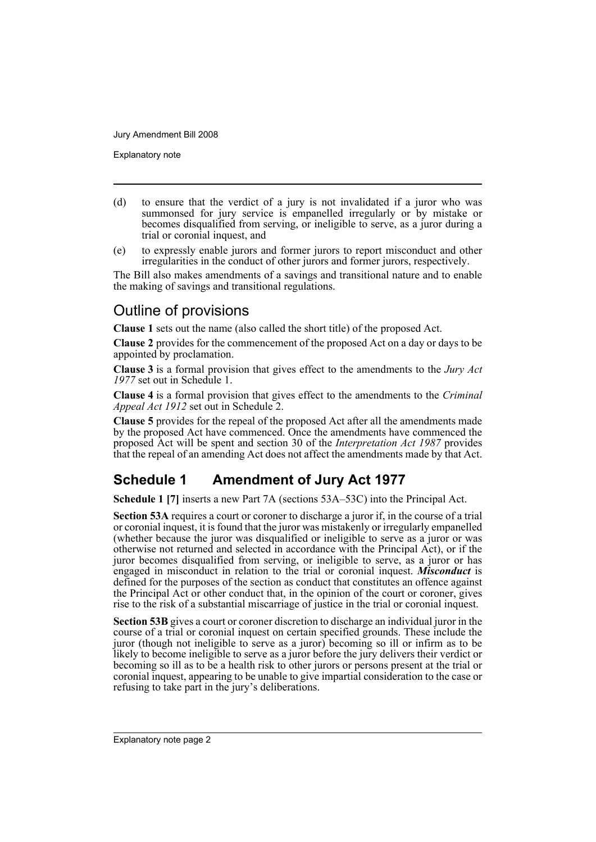Explanatory note

- (d) to ensure that the verdict of a jury is not invalidated if a juror who was summonsed for jury service is empanelled irregularly or by mistake or becomes disqualified from serving, or ineligible to serve, as a juror during a trial or coronial inquest, and
- (e) to expressly enable jurors and former jurors to report misconduct and other irregularities in the conduct of other jurors and former jurors, respectively.

The Bill also makes amendments of a savings and transitional nature and to enable the making of savings and transitional regulations.

## Outline of provisions

**Clause 1** sets out the name (also called the short title) of the proposed Act.

**Clause 2** provides for the commencement of the proposed Act on a day or days to be appointed by proclamation.

**Clause 3** is a formal provision that gives effect to the amendments to the *Jury Act 1977* set out in Schedule 1.

**Clause 4** is a formal provision that gives effect to the amendments to the *Criminal Appeal Act 1912* set out in Schedule 2.

**Clause 5** provides for the repeal of the proposed Act after all the amendments made by the proposed Act have commenced. Once the amendments have commenced the proposed Act will be spent and section 30 of the *Interpretation Act 1987* provides that the repeal of an amending Act does not affect the amendments made by that Act.

# **Schedule 1 Amendment of Jury Act 1977**

**Schedule 1 [7]** inserts a new Part 7A (sections 53A–53C) into the Principal Act.

**Section 53A** requires a court or coroner to discharge a juror if, in the course of a trial or coronial inquest, it is found that the juror was mistakenly or irregularly empanelled (whether because the juror was disqualified or ineligible to serve as a juror or was otherwise not returned and selected in accordance with the Principal Act), or if the juror becomes disqualified from serving, or ineligible to serve, as a juror or has engaged in misconduct in relation to the trial or coronial inquest. *Misconduct* is defined for the purposes of the section as conduct that constitutes an offence against the Principal Act or other conduct that, in the opinion of the court or coroner, gives rise to the risk of a substantial miscarriage of justice in the trial or coronial inquest.

**Section 53B** gives a court or coroner discretion to discharge an individual juror in the course of a trial or coronial inquest on certain specified grounds. These include the juror (though not ineligible to serve as a juror) becoming so ill or infirm as to be likely to become ineligible to serve as a juror before the jury delivers their verdict or becoming so ill as to be a health risk to other jurors or persons present at the trial or coronial inquest, appearing to be unable to give impartial consideration to the case or refusing to take part in the jury's deliberations.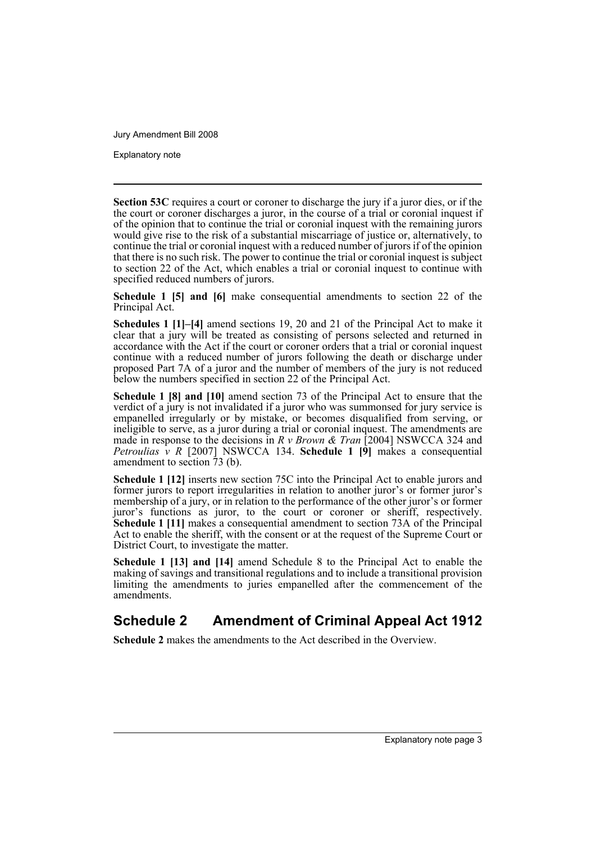Explanatory note

**Section 53C** requires a court or coroner to discharge the jury if a juror dies, or if the the court or coroner discharges a juror, in the course of a trial or coronial inquest if of the opinion that to continue the trial or coronial inquest with the remaining jurors would give rise to the risk of a substantial miscarriage of justice or, alternatively, to continue the trial or coronial inquest with a reduced number of jurors if of the opinion that there is no such risk. The power to continue the trial or coronial inquest is subject to section 22 of the Act, which enables a trial or coronial inquest to continue with specified reduced numbers of jurors.

**Schedule 1 [5] and [6]** make consequential amendments to section 22 of the Principal Act.

**Schedules 1 [1]–[4]** amend sections 19, 20 and 21 of the Principal Act to make it clear that a jury will be treated as consisting of persons selected and returned in accordance with the Act if the court or coroner orders that a trial or coronial inquest continue with a reduced number of jurors following the death or discharge under proposed Part 7A of a juror and the number of members of the jury is not reduced below the numbers specified in section 22 of the Principal Act.

**Schedule 1 [8] and [10]** amend section 73 of the Principal Act to ensure that the verdict of a jury is not invalidated if a juror who was summonsed for jury service is empanelled irregularly or by mistake, or becomes disqualified from serving, or ineligible to serve, as a juror during a trial or coronial inquest. The amendments are made in response to the decisions in *R v Brown & Tran* [2004] NSWCCA 324 and *Petroulias v R* [2007] NSWCCA 134. **Schedule 1 [9]** makes a consequential amendment to section 73 (b).

**Schedule 1 [12]** inserts new section 75C into the Principal Act to enable jurors and former jurors to report irregularities in relation to another juror's or former juror's membership of a jury, or in relation to the performance of the other juror's or former juror's functions as juror, to the court or coroner or sheriff, respectively. **Schedule 1 [11]** makes a consequential amendment to section 73A of the Principal Act to enable the sheriff, with the consent or at the request of the Supreme Court or District Court, to investigate the matter.

**Schedule 1 [13] and [14]** amend Schedule 8 to the Principal Act to enable the making of savings and transitional regulations and to include a transitional provision limiting the amendments to juries empanelled after the commencement of the amendments.

## **Schedule 2 Amendment of Criminal Appeal Act 1912**

**Schedule 2** makes the amendments to the Act described in the Overview.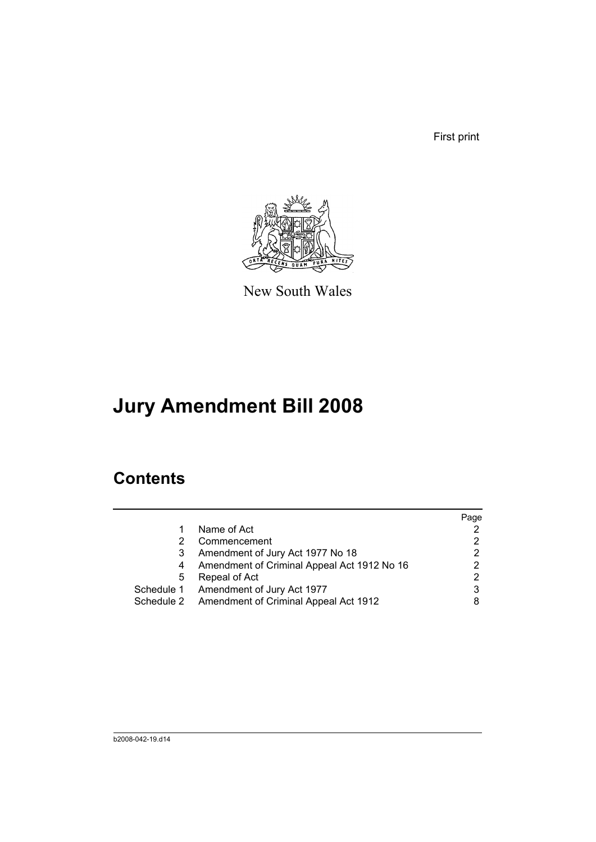First print



New South Wales

# **Jury Amendment Bill 2008**

# **Contents**

|            |                                             | Page |
|------------|---------------------------------------------|------|
|            | Name of Act                                 |      |
|            | Commencement                                |      |
|            | Amendment of Jury Act 1977 No 18            |      |
| 4          | Amendment of Criminal Appeal Act 1912 No 16 |      |
| 5          | Repeal of Act                               | 2    |
|            | Schedule 1 Amendment of Jury Act 1977       |      |
| Schedule 2 | Amendment of Criminal Appeal Act 1912       |      |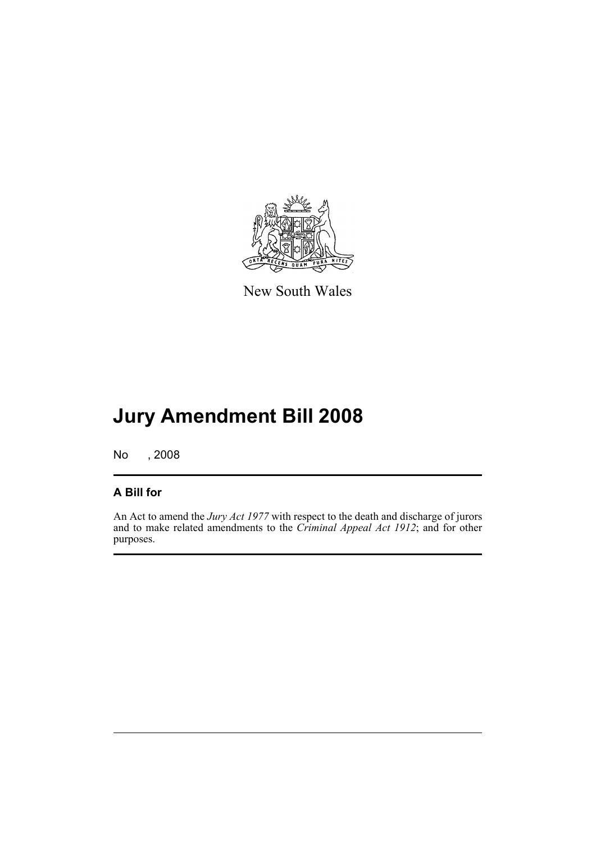

New South Wales

# **Jury Amendment Bill 2008**

No , 2008

### **A Bill for**

An Act to amend the *Jury Act 1977* with respect to the death and discharge of jurors and to make related amendments to the *Criminal Appeal Act 1912*; and for other purposes.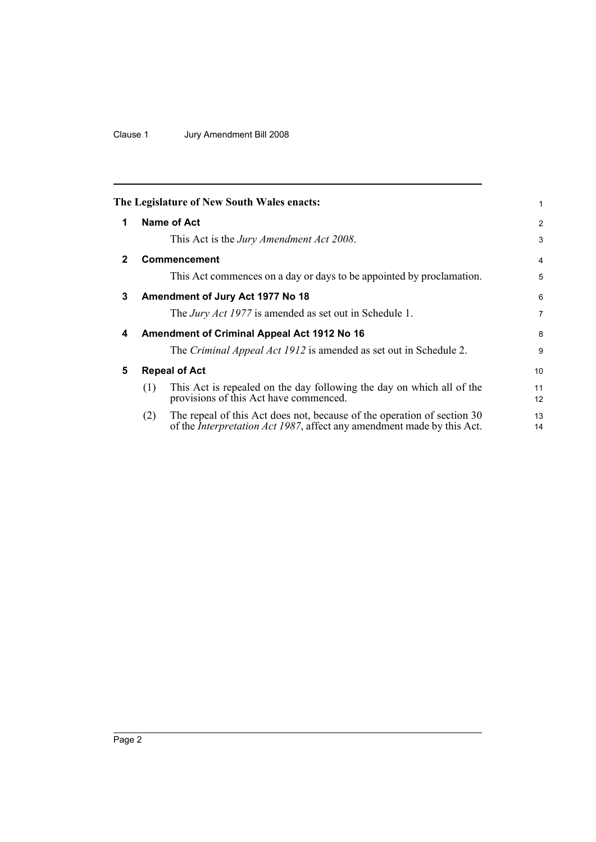### Clause 1 Jury Amendment Bill 2008

<span id="page-7-4"></span><span id="page-7-3"></span><span id="page-7-2"></span><span id="page-7-1"></span><span id="page-7-0"></span>

|              |                                  | The Legislature of New South Wales enacts:                                                                                                                | 1        |  |
|--------------|----------------------------------|-----------------------------------------------------------------------------------------------------------------------------------------------------------|----------|--|
| 1            |                                  | Name of Act                                                                                                                                               | 2        |  |
|              |                                  | This Act is the <i>Jury Amendment Act 2008</i> .                                                                                                          | 3        |  |
| $\mathbf{2}$ |                                  | <b>Commencement</b>                                                                                                                                       | 4        |  |
|              |                                  | This Act commences on a day or days to be appointed by proclamation.                                                                                      | 5        |  |
| 3            | Amendment of Jury Act 1977 No 18 |                                                                                                                                                           |          |  |
|              |                                  | The <i>Jury Act 1977</i> is amended as set out in Schedule 1.                                                                                             | 7        |  |
| 4            |                                  | Amendment of Criminal Appeal Act 1912 No 16                                                                                                               | 8        |  |
|              |                                  | The Criminal Appeal Act 1912 is amended as set out in Schedule 2.                                                                                         | 9        |  |
| 5            |                                  | <b>Repeal of Act</b>                                                                                                                                      | 10       |  |
|              | (1)                              | This Act is repealed on the day following the day on which all of the<br>provisions of this Act have commenced.                                           | 11<br>12 |  |
|              | (2)                              | The repeal of this Act does not, because of the operation of section 30<br>of the <i>Interpretation Act 1987</i> , affect any amendment made by this Act. | 13<br>14 |  |
|              |                                  |                                                                                                                                                           |          |  |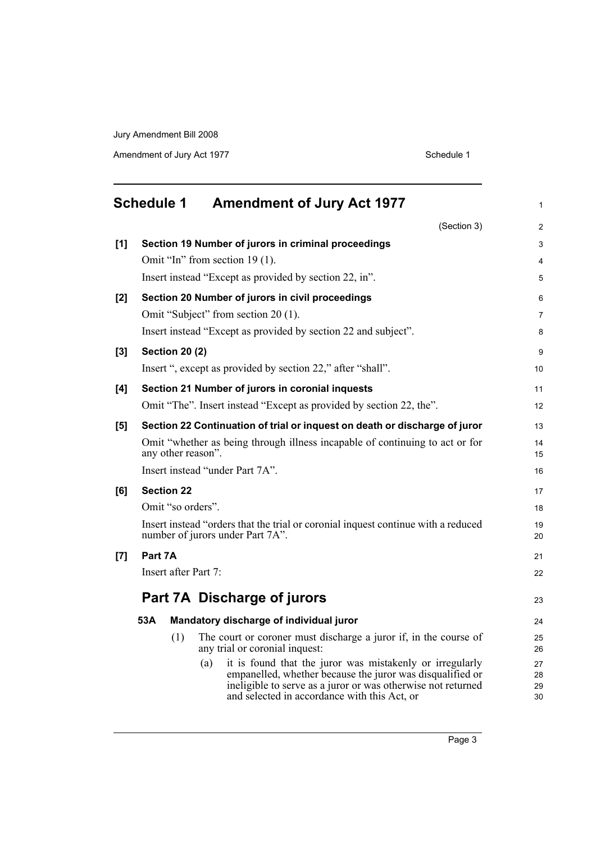Amendment of Jury Act 1977 **Schedule 1** Schedule 1

<span id="page-8-0"></span>

|     | <b>Schedule 1</b><br><b>Amendment of Jury Act 1977</b>                                                                | 1              |
|-----|-----------------------------------------------------------------------------------------------------------------------|----------------|
|     | (Section 3)                                                                                                           | $\overline{c}$ |
| [1] | Section 19 Number of jurors in criminal proceedings                                                                   | 3              |
|     | Omit "In" from section 19 (1).                                                                                        | 4              |
|     | Insert instead "Except as provided by section 22, in".                                                                | 5              |
| [2] | Section 20 Number of jurors in civil proceedings                                                                      | 6              |
|     | Omit "Subject" from section 20 (1).                                                                                   | 7              |
|     | Insert instead "Except as provided by section 22 and subject".                                                        | 8              |
| [3] | <b>Section 20 (2)</b>                                                                                                 | 9              |
|     | Insert ", except as provided by section 22," after "shall".                                                           | 10             |
| [4] | Section 21 Number of jurors in coronial inquests                                                                      | 11             |
|     | Omit "The". Insert instead "Except as provided by section 22, the".                                                   | 12             |
| [5] | Section 22 Continuation of trial or inquest on death or discharge of juror                                            | 13             |
|     | Omit "whether as being through illness incapable of continuing to act or for<br>any other reason".                    | 14<br>15       |
|     | Insert instead "under Part 7A".                                                                                       | 16             |
| [6] | <b>Section 22</b>                                                                                                     | 17             |
|     | Omit "so orders".                                                                                                     | 18             |
|     | Insert instead "orders that the trial or coronial inquest continue with a reduced<br>number of jurors under Part 7A". | 19<br>20       |
| [7] | Part 7A                                                                                                               | 21             |
|     | Insert after Part 7:                                                                                                  | 22             |
|     | Part 7A Discharge of jurors                                                                                           | 23             |
|     | 53A<br>Mandatory discharge of individual juror                                                                        | 24             |
|     | The court or coroner must discharge a juror if, in the course of<br>(1)<br>any trial or coronial inquest:             | 25<br>26       |
|     | it is found that the juror was mistakenly or irregularly<br>(a)                                                       | 27             |
|     | empanelled, whether because the juror was disqualified or                                                             | 28             |
|     | ineligible to serve as a juror or was otherwise not returned<br>and selected in accordance with this Act, or          | 29<br>30       |
|     |                                                                                                                       |                |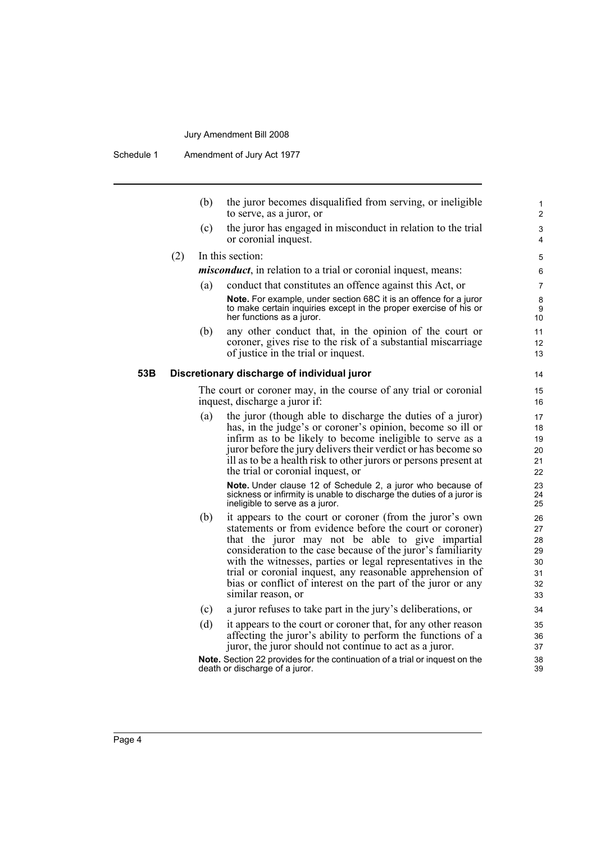$(2)$ 

| (b)              | the juror becomes disqualified from serving, or ineligible<br>to serve, as a juror, or |  |  |  |
|------------------|----------------------------------------------------------------------------------------|--|--|--|
| (c)              | the juror has engaged in misconduct in relation to the trial<br>or coronial inquest.   |  |  |  |
| In this section: |                                                                                        |  |  |  |
|                  | <i>misconduct</i> , in relation to a trial or coronial inquest, means:                 |  |  |  |
| (a)              | conduct that constitutes an offence against this Act, or                               |  |  |  |
|                  | Note For example, under section 680 it is an offence for a juror                       |  |  |  |

- ample. under section 68C it is an offence for to make certain inquiries except in the proper exercise of his or her functions as a juror.
- (b) any other conduct that, in the opinion of the court or coroner, gives rise to the risk of a substantial miscarriage of justice in the trial or inquest.

#### **53B Discretionary discharge of individual juror**

The court or coroner may, in the course of any trial or coronial inquest, discharge a juror if:

(a) the juror (though able to discharge the duties of a juror) has, in the judge's or coroner's opinion, become so ill or infirm as to be likely to become ineligible to serve as a juror before the jury delivers their verdict or has become so ill as to be a health risk to other jurors or persons present at the trial or coronial inquest, or

**Note.** Under clause 12 of Schedule 2, a juror who because of sickness or infirmity is unable to discharge the duties of a juror is ineligible to serve as a juror.

- (b) it appears to the court or coroner (from the juror's own statements or from evidence before the court or coroner) that the juror may not be able to give impartial consideration to the case because of the juror's familiarity with the witnesses, parties or legal representatives in the trial or coronial inquest, any reasonable apprehension of bias or conflict of interest on the part of the juror or any similar reason, or
- (c) a juror refuses to take part in the jury's deliberations, or
- (d) it appears to the court or coroner that, for any other reason affecting the juror's ability to perform the functions of a juror, the juror should not continue to act as a juror.

**Note.** Section 22 provides for the continuation of a trial or inquest on the death or discharge of a juror.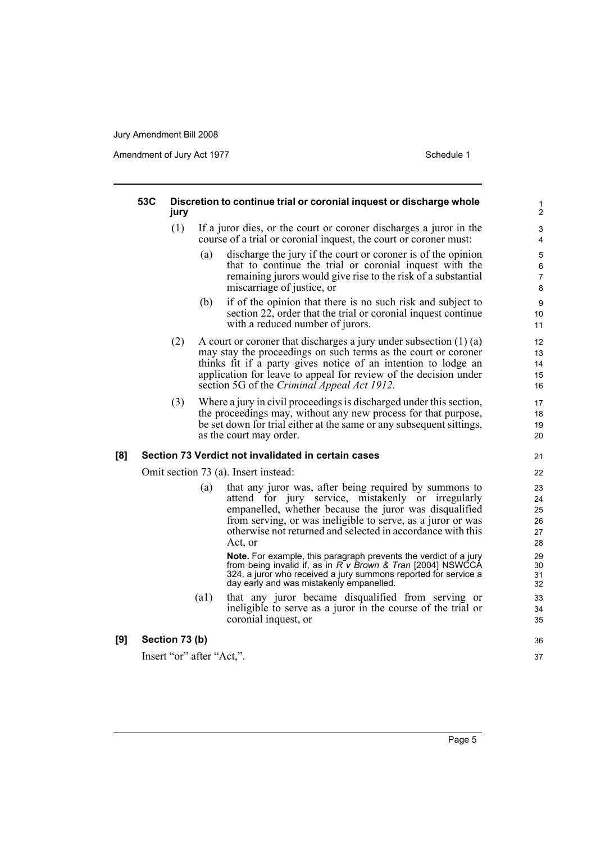Amendment of Jury Act 1977 **Schedule 1** Schedule 1

36 37

#### **53C Discretion to continue trial or coronial inquest or discharge whole jury** (1) If a juror dies, or the court or coroner discharges a juror in the course of a trial or coronial inquest, the court or coroner must: (a) discharge the jury if the court or coroner is of the opinion that to continue the trial or coronial inquest with the remaining jurors would give rise to the risk of a substantial miscarriage of justice, or (b) if of the opinion that there is no such risk and subject to section 22, order that the trial or coronial inquest continue with a reduced number of jurors. (2) A court or coroner that discharges a jury under subsection  $(1)$   $(a)$ may stay the proceedings on such terms as the court or coroner thinks fit if a party gives notice of an intention to lodge an application for leave to appeal for review of the decision under section 5G of the *Criminal Appeal Act 1912*.

(3) Where a jury in civil proceedings is discharged under this section, the proceedings may, without any new process for that purpose, be set down for trial either at the same or any subsequent sittings, as the court may order.

#### **[8] Section 73 Verdict not invalidated in certain cases**

Omit section 73 (a). Insert instead:

(a) that any juror was, after being required by summons to attend for jury service, mistakenly or irregularly empanelled, whether because the juror was disqualified from serving, or was ineligible to serve, as a juror or was otherwise not returned and selected in accordance with this Act, or

**Note.** For example, this paragraph prevents the verdict of a jury from being invalid if, as in *R v Brown & Tran* [2004] NSWCCA 324, a juror who received a jury summons reported for service a day early and was mistakenly empanelled.

(a1) that any juror became disqualified from serving or ineligible to serve as a juror in the course of the trial or coronial inquest, or

#### **[9] Section 73 (b)**

Insert "or" after "Act,".

Page 5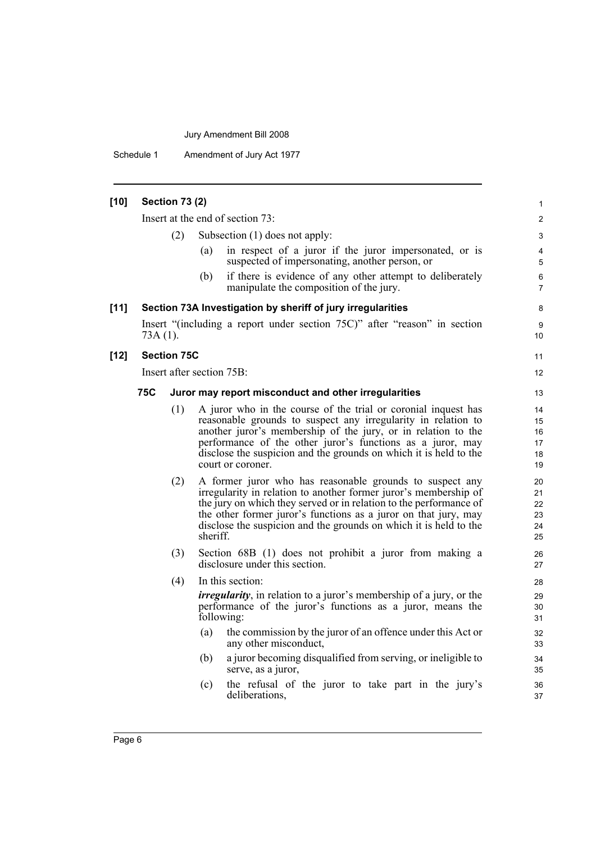Schedule 1 Amendment of Jury Act 1977

### **[10] Section 73 (2)** Insert at the end of section 73: (2) Subsection (1) does not apply: (a) in respect of a juror if the juror impersonated, or is suspected of impersonating, another person, or (b) if there is evidence of any other attempt to deliberately manipulate the composition of the jury. **[11] Section 73A Investigation by sheriff of jury irregularities** Insert "(including a report under section 75C)" after "reason" in section 73A (1). **[12] Section 75C** Insert after section 75B: **75C Juror may report misconduct and other irregularities** (1) A juror who in the course of the trial or coronial inquest has reasonable grounds to suspect any irregularity in relation to another juror's membership of the jury, or in relation to the performance of the other juror's functions as a juror, may disclose the suspicion and the grounds on which it is held to the court or coroner. (2) A former juror who has reasonable grounds to suspect any irregularity in relation to another former juror's membership of the jury on which they served or in relation to the performance of the other former juror's functions as a juror on that jury, may disclose the suspicion and the grounds on which it is held to the sheriff. (3) Section 68B (1) does not prohibit a juror from making a disclosure under this section. (4) In this section: *irregularity*, in relation to a juror's membership of a jury, or the performance of the juror's functions as a juror, means the following: (a) the commission by the juror of an offence under this Act or any other misconduct, (b) a juror becoming disqualified from serving, or ineligible to serve, as a juror, (c) the refusal of the juror to take part in the jury's deliberations,

8 9 10

11 12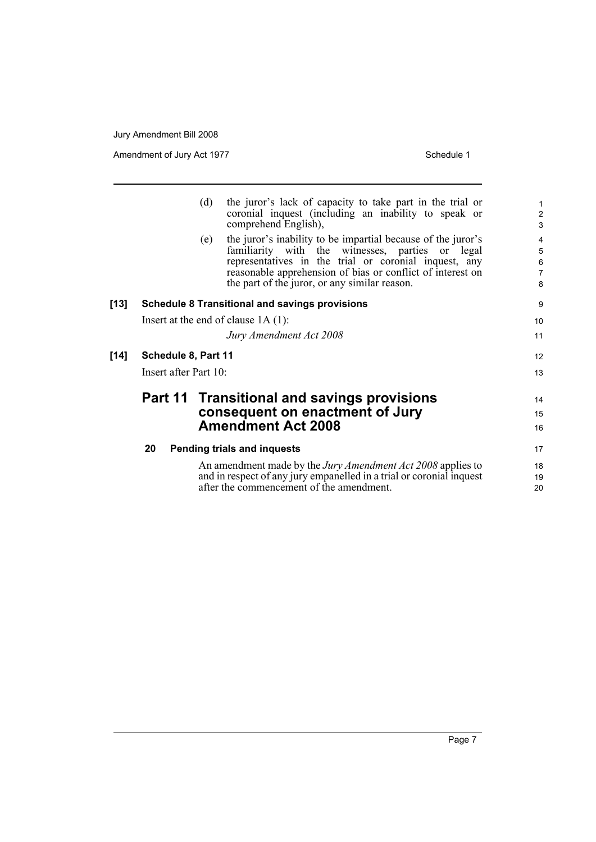Amendment of Jury Act 1977 **Schedule 1** Schedule 1

|      |                       | the juror's lack of capacity to take part in the trial or<br>(d)<br>coronial inquest (including an inability to speak or<br>comprehend English), | $\mathbf{1}$<br>$\boldsymbol{2}$<br>3 |
|------|-----------------------|--------------------------------------------------------------------------------------------------------------------------------------------------|---------------------------------------|
|      |                       | the juror's inability to be impartial because of the juror's<br>(e)                                                                              | 4                                     |
|      |                       | familiarity with the witnesses, parties or legal<br>representatives in the trial or coronial inquest, any                                        | 5<br>$\,6\,$                          |
|      |                       | reasonable apprehension of bias or conflict of interest on                                                                                       | $\overline{7}$                        |
|      |                       | the part of the juror, or any similar reason.                                                                                                    | 8                                     |
| [13] |                       | <b>Schedule 8 Transitional and savings provisions</b>                                                                                            | 9                                     |
|      |                       | Insert at the end of clause $1A(1)$ :                                                                                                            | 10                                    |
|      |                       | Jury Amendment Act 2008                                                                                                                          | 11                                    |
| [14] | Schedule 8, Part 11   |                                                                                                                                                  | 12                                    |
|      | Insert after Part 10: |                                                                                                                                                  | 13                                    |
|      |                       | Part 11 Transitional and savings provisions                                                                                                      | 14                                    |
|      |                       | consequent on enactment of Jury                                                                                                                  | 15                                    |
|      |                       | <b>Amendment Act 2008</b>                                                                                                                        | 16                                    |
|      |                       |                                                                                                                                                  |                                       |
|      | 20                    | <b>Pending trials and inquests</b>                                                                                                               | 17                                    |
|      |                       | An amendment made by the <i>Jury Amendment Act 2008</i> applies to                                                                               | 18                                    |
|      |                       | and in respect of any jury empanelled in a trial or coronial inquest                                                                             | 19                                    |
|      |                       | after the commencement of the amendment.                                                                                                         | 20                                    |